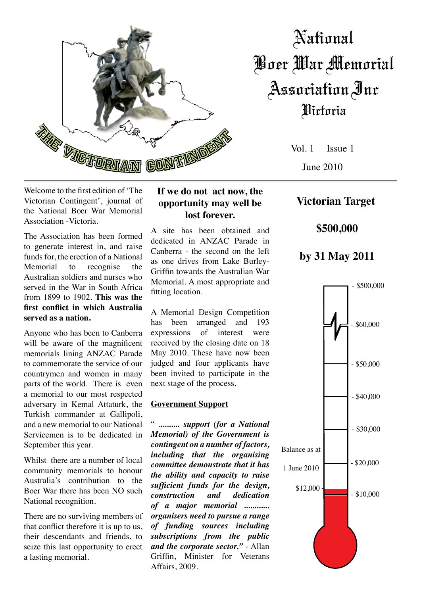

# National Boer War Memorial Association Inc Victoria

Vol. 1 Issue 1 June 2010

Welcome to the first edition of 'The Victorian Contingent', journal of the National Boer War Memorial Association -Victoria.

The Association has been formed to generate interest in, and raise funds for, the erection of a National Memorial to recognise the Australian soldiers and nurses who served in the War in South Africa from 1899 to 1902. **This was the first conflict in which Australia served as a nation.**

Anyone who has been to Canberra will be aware of the magnificent memorials lining ANZAC Parade to commemorate the service of our countrymen and women in many parts of the world. There is even a memorial to our most respected adversary in Kemal Attaturk, the Turkish commander at Gallipoli, and a new memorial to our National Servicemen is to be dedicated in September this year.

Whilst there are a number of local community memorials to honour Australia's contribution to the Boer War there has been NO such National recognition.

There are no surviving members of that conflict therefore it is up to us, their descendants and friends, to seize this last opportunity to erect a lasting memorial.

### **If we do not act now, the opportunity may well be lost forever.**

A site has been obtained and dedicated in ANZAC Parade in Canberra - the second on the left as one drives from Lake Burley-Griffin towards the Australian War Memorial. A most appropriate and fitting location.

A Memorial Design Competition has been arranged and 193 expressions of interest were received by the closing date on 18 May 2010. These have now been judged and four applicants have been invited to participate in the next stage of the process.

#### **Government Support**

" .*......... support (for a National Memorial) of the Government is contingent on a number of factors, including that the organising committee demonstrate that it has the ability and capacity to raise sufficient funds for the design, construction and dedication of a major memorial ............ organisers need to pursue a range of funding sources including subscriptions from the public and the corporate sector."* - Allan Griffin, Minister for Veterans Affairs, 2009.

## **Victorian Target**

 **\$500,000**

## **by 31 May 2011**

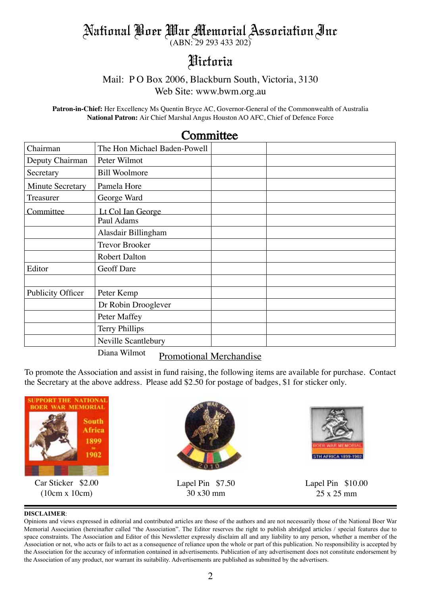## National Boer War Memorial Association Inc

(ABN: 29 293 433 202)

## Victoria

## Mail: P O Box 2006, Blackburn South, Victoria, 3130

Web Site: www.bwm.org.au

**Patron-in-Chief:** Her Excellency Ms Quentin Bryce AC, Governor-General of the Commonwealth of Australia **National Patron:** Air Chief Marshal Angus Houston AO AFC, Chief of Defence Force

| Chairman                                       | The Hon Michael Baden-Powell |  |  |
|------------------------------------------------|------------------------------|--|--|
| Deputy Chairman                                | Peter Wilmot                 |  |  |
| Secretary                                      | <b>Bill Woolmore</b>         |  |  |
| <b>Minute Secretary</b>                        | Pamela Hore                  |  |  |
| Treasurer                                      | George Ward                  |  |  |
| Committee                                      | Lt Col Ian George            |  |  |
|                                                | Paul Adams                   |  |  |
|                                                | Alasdair Billingham          |  |  |
|                                                | <b>Trevor Brooker</b>        |  |  |
|                                                | <b>Robert Dalton</b>         |  |  |
| Editor                                         | <b>Geoff Dare</b>            |  |  |
|                                                |                              |  |  |
| <b>Publicity Officer</b>                       | Peter Kemp                   |  |  |
|                                                | Dr Robin Drooglever          |  |  |
|                                                | Peter Maffey                 |  |  |
|                                                | <b>Terry Phillips</b>        |  |  |
|                                                | Neville Scantlebury          |  |  |
| Diana Wilmot<br><b>Promotional Merchandise</b> |                              |  |  |

## **Committee**

To promote the Association and assist in fund raising, the following items are available for purchase. Contact the Secretary at the above address. Please add \$2.50 for postage of badges, \$1 for sticker only.



#### **DISCLAIMER**:

Opinions and views expressed in editorial and contributed articles are those of the authors and are not necessarily those of the National Boer War Memorial Association (hereinafter called "the Association". The Editor reserves the right to publish abridged articles / special features due to space constraints. The Association and Editor of this Newsletter expressly disclaim all and any liability to any person, whether a member of the Association or not, who acts or fails to act as a consequence of reliance upon the whole or part of this publication. No responsibility is accepted by the Association for the accuracy of information contained in advertisements. Publication of any advertisement does not constitute endorsement by the Association of any product, nor warrant its suitability. Advertisements are published as submitted by the advertisers.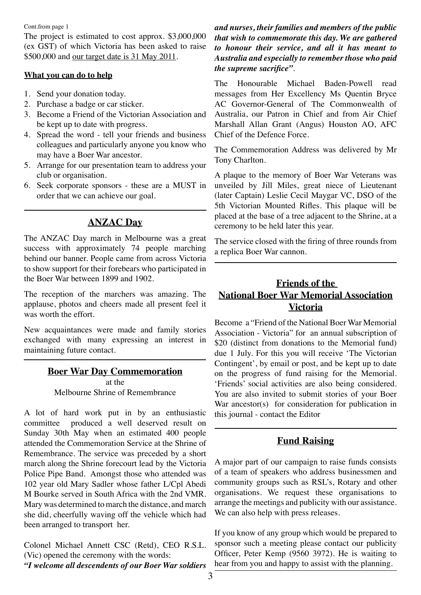Cont.from page 1

The project is estimated to cost approx. \$3,000,000 (ex GST) of which Victoria has been asked to raise \$500,000 and our target date is 31 May 2011.

#### **What you can do to help**

- 1. Send your donation today.
- 2. Purchase a badge or car sticker.
- 3. Become a Friend of the Victorian Association and be kept up to date with progress.
- 4. Spread the word tell your friends and business colleagues and particularly anyone you know who may have a Boer War ancestor.
- 5. Arrange for our presentation team to address your club or organisation.
- 6. Seek corporate sponsors these are a MUST in order that we can achieve our goal.

## **ANZAC Day**

The ANZAC Day march in Melbourne was a great success with approximately 74 people marching behind our banner. People came from across Victoria to show support for their forebears who participated in the Boer War between 1899 and 1902.

The reception of the marchers was amazing. The applause, photos and cheers made all present feel it was worth the effort.

New acquaintances were made and family stories exchanged with many expressing an interest in maintaining future contact.

#### **Boer War Day Commemoration**

at the Melbourne Shrine of Remembrance

A lot of hard work put in by an enthusiastic committee produced a well deserved result on Sunday 30th May when an estimated 400 people attended the Commemoration Service at the Shrine of Remembrance. The service was preceded by a short march along the Shrine forecourt lead by the Victoria Police Pipe Band. Amongst those who attended was 102 year old Mary Sadler whose father L/Cpl Abedi M Bourke served in South Africa with the 2nd VMR. Mary was determined to march the distance, and march she did, cheerfully waving off the vehicle which had been arranged to transport her.

Colonel Michael Annett CSC (Retd), CEO R.S.L. (Vic) opened the ceremony with the words: *"I welcome all descendents of our Boer War soldiers* 

#### *and nurses, their families and members of the public that wish to commemorate this day. We are gathered to honour their service, and all it has meant to Australia and especially to remember those who paid the supreme sacrifice"*.

The Honourable Michael Baden-Powell read messages from Her Excellency Ms Quentin Bryce AC Governor-General of The Commonwealth of Australia, our Patron in Chief and from Air Chief Marshall Allan Grant (Angus) Houston AO, AFC Chief of the Defence Force.

The Commemoration Address was delivered by Mr Tony Charlton.

A plaque to the memory of Boer War Veterans was unveiled by Jill Miles, great niece of Lieutenant (later Captain) Leslie Cecil Maygar VC, DSO of the 5th Victorian Mounted Rifles. This plaque will be placed at the base of a tree adjacent to the Shrine, at a ceremony to be held later this year.

The service closed with the firing of three rounds from a replica Boer War cannon.

## **Friends of the National Boer War Memorial Association Victoria**

Become a "Friend of the National Boer War Memorial Association - Victoria" for an annual subscription of \$20 (distinct from donations to the Memorial fund) due 1 July. For this you will receive 'The Victorian Contingent', by email or post, and be kept up to date on the progress of fund raising for the Memorial. 'Friends' social activities are also being considered. You are also invited to submit stories of your Boer War ancestor(s) for consideration for publication in this journal - contact the Editor

## **Fund Raising**

A major part of our campaign to raise funds consists of a team of speakers who address businessmen and community groups such as RSL's, Rotary and other organisations. We request these organisations to arrange the meetings and publicity with our assistance. We can also help with press releases.

If you know of any group which would be prepared to sponsor such a meeting please contact our publicity Officer, Peter Kemp (9560 3972). He is waiting to hear from you and happy to assist with the planning.